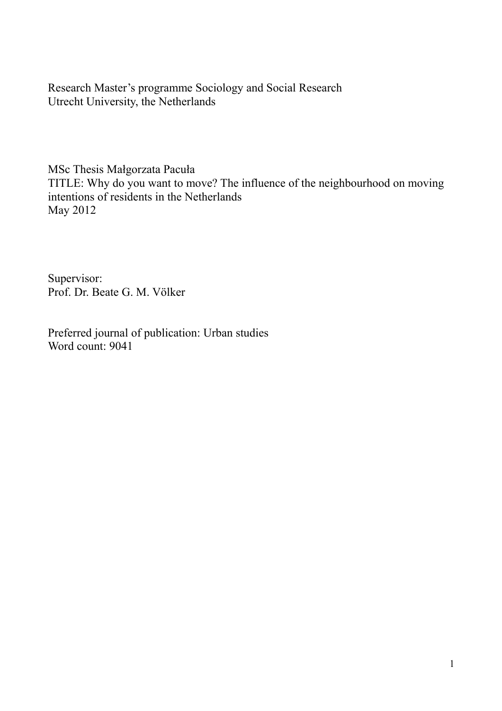Research Master's programme Sociology and Social Research Utrecht University, the Netherlands

MSc Thesis Małgorzata Pacuła TITLE: Why do you want to move? The influence of the neighbourhood on moving intentions of residents in the Netherlands May 2012

Supervisor: Prof. Dr. Beate G. M. Völker

Preferred journal of publication: Urban studies Word count: 9041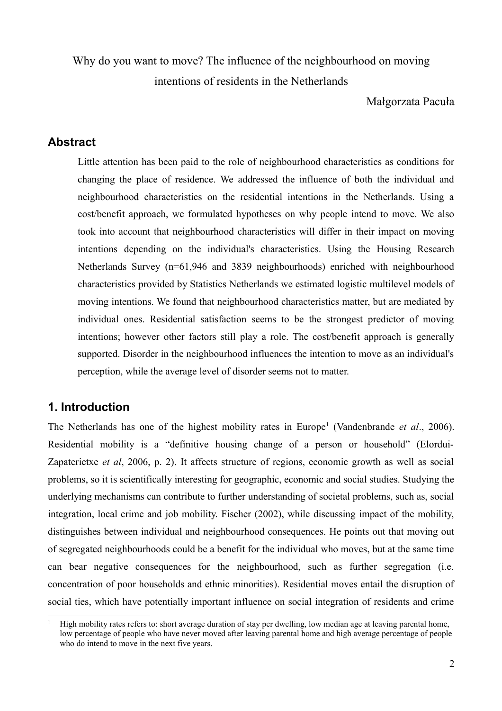Why do you want to move? The influence of the neighbourhood on moving intentions of residents in the Netherlands

Małgorzata Pacuła

# **Abstract**

Little attention has been paid to the role of neighbourhood characteristics as conditions for changing the place of residence. We addressed the influence of both the individual and neighbourhood characteristics on the residential intentions in the Netherlands. Using a cost/benefit approach, we formulated hypotheses on why people intend to move. We also took into account that neighbourhood characteristics will differ in their impact on moving intentions depending on the individual's characteristics. Using the Housing Research Netherlands Survey (n=61,946 and 3839 neighbourhoods) enriched with neighbourhood characteristics provided by Statistics Netherlands we estimated logistic multilevel models of moving intentions. We found that neighbourhood characteristics matter, but are mediated by individual ones. Residential satisfaction seems to be the strongest predictor of moving intentions; however other factors still play a role. The cost/benefit approach is generally supported. Disorder in the neighbourhood influences the intention to move as an individual's perception, while the average level of disorder seems not to matter.

# **1. Introduction**

The Netherlands has one of the highest mobility rates in Europe<sup>[1](#page-1-0)</sup> (Vandenbrande *et al.*, 2006). Residential mobility is a "definitive housing change of a person or household" (Elordui-Zapaterietxe *et al*, 2006, p. 2). It affects structure of regions, economic growth as well as social problems, so it is scientifically interesting for geographic, economic and social studies. Studying the underlying mechanisms can contribute to further understanding of societal problems, such as, social integration, local crime and job mobility. Fischer (2002), while discussing impact of the mobility, distinguishes between individual and neighbourhood consequences. He points out that moving out of segregated neighbourhoods could be a benefit for the individual who moves, but at the same time can bear negative consequences for the neighbourhood, such as further segregation (i.e. concentration of poor households and ethnic minorities). Residential moves entail the disruption of social ties, which have potentially important influence on social integration of residents and crime

<span id="page-1-0"></span><sup>1</sup> High mobility rates refers to: short average duration of stay per dwelling, low median age at leaving parental home, low percentage of people who have never moved after leaving parental home and high average percentage of people who do intend to move in the next five years.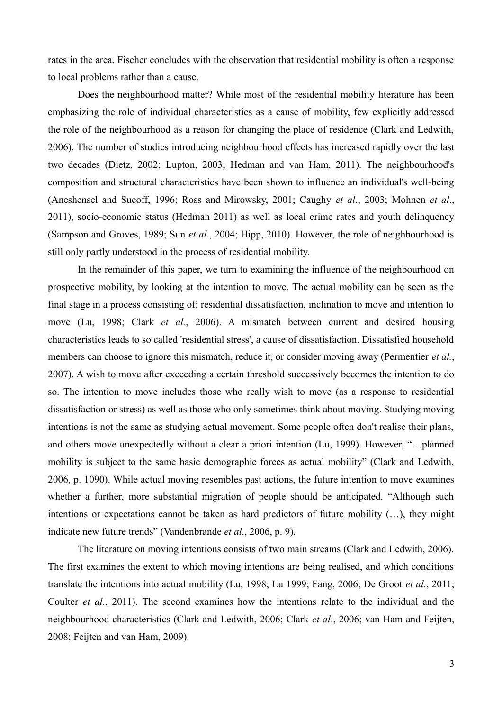rates in the area. Fischer concludes with the observation that residential mobility is often a response to local problems rather than a cause.

Does the neighbourhood matter? While most of the residential mobility literature has been emphasizing the role of individual characteristics as a cause of mobility, few explicitly addressed the role of the neighbourhood as a reason for changing the place of residence (Clark and Ledwith, 2006). The number of studies introducing neighbourhood effects has increased rapidly over the last two decades (Dietz, 2002; Lupton, 2003; Hedman and van Ham, 2011). The neighbourhood's composition and structural characteristics have been shown to influence an individual's well-being (Aneshensel and Sucoff, 1996; Ross and Mirowsky, 2001; Caughy *et al*., 2003; Mohnen *et al*., 2011), socio-economic status (Hedman 2011) as well as local crime rates and youth delinquency (Sampson and Groves, 1989; Sun *et al.*, 2004; Hipp, 2010). However, the role of neighbourhood is still only partly understood in the process of residential mobility.

In the remainder of this paper, we turn to examining the influence of the neighbourhood on prospective mobility, by looking at the intention to move. The actual mobility can be seen as the final stage in a process consisting of: residential dissatisfaction, inclination to move and intention to move (Lu, 1998; Clark *et al.*, 2006). A mismatch between current and desired housing characteristics leads to so called 'residential stress', a cause of dissatisfaction. Dissatisfied household members can choose to ignore this mismatch, reduce it, or consider moving away (Permentier *et al.*, 2007). A wish to move after exceeding a certain threshold successively becomes the intention to do so. The intention to move includes those who really wish to move (as a response to residential dissatisfaction or stress) as well as those who only sometimes think about moving. Studying moving intentions is not the same as studying actual movement. Some people often don't realise their plans, and others move unexpectedly without a clear a priori intention (Lu, 1999). However, "…planned mobility is subject to the same basic demographic forces as actual mobility" (Clark and Ledwith, 2006, p. 1090). While actual moving resembles past actions, the future intention to move examines whether a further, more substantial migration of people should be anticipated. "Although such intentions or expectations cannot be taken as hard predictors of future mobility (…), they might indicate new future trends" (Vandenbrande *et al*., 2006, p. 9).

The literature on moving intentions consists of two main streams (Clark and Ledwith, 2006). The first examines the extent to which moving intentions are being realised, and which conditions translate the intentions into actual mobility (Lu, 1998; Lu 1999; Fang, 2006; De Groot *et al.*, 2011; Coulter *et al.*, 2011). The second examines how the intentions relate to the individual and the neighbourhood characteristics (Clark and Ledwith, 2006; Clark *et al*., 2006; van Ham and Feijten, 2008; Feijten and van Ham, 2009).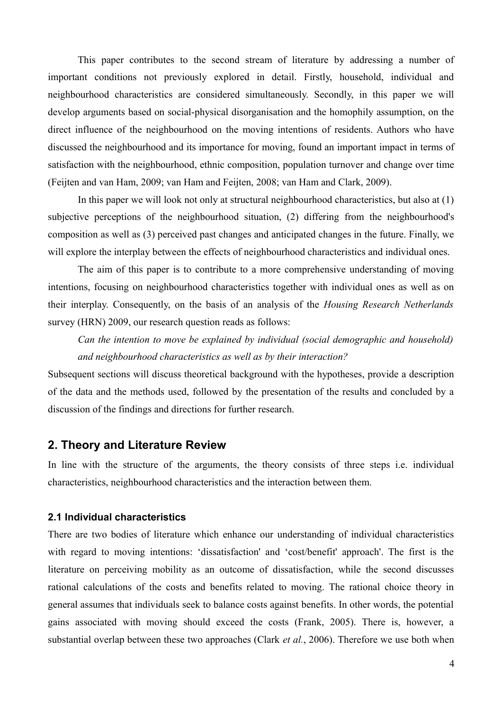This paper contributes to the second stream of literature by addressing a number of important conditions not previously explored in detail. Firstly, household, individual and neighbourhood characteristics are considered simultaneously. Secondly, in this paper we will develop arguments based on social-physical disorganisation and the homophily assumption, on the direct influence of the neighbourhood on the moving intentions of residents. Authors who have discussed the neighbourhood and its importance for moving, found an important impact in terms of satisfaction with the neighbourhood, ethnic composition, population turnover and change over time (Feijten and van Ham, 2009; van Ham and Feijten, 2008; van Ham and Clark, 2009).

In this paper we will look not only at structural neighbourhood characteristics, but also at (1) subjective perceptions of the neighbourhood situation, (2) differing from the neighbourhood's composition as well as (3) perceived past changes and anticipated changes in the future. Finally, we will explore the interplay between the effects of neighbourhood characteristics and individual ones.

The aim of this paper is to contribute to a more comprehensive understanding of moving intentions, focusing on neighbourhood characteristics together with individual ones as well as on their interplay. Consequently, on the basis of an analysis of the *Housing Research Netherlands* survey (HRN) 2009, our research question reads as follows:

*Can the intention to move be explained by individual (social demographic and household) and neighbourhood characteristics as well as by their interaction?*

Subsequent sections will discuss theoretical background with the hypotheses, provide a description of the data and the methods used, followed by the presentation of the results and concluded by a discussion of the findings and directions for further research.

# **2. Theory and Literature Review**

In line with the structure of the arguments, the theory consists of three steps i.e. individual characteristics, neighbourhood characteristics and the interaction between them.

### **2.1 Individual characteristics**

There are two bodies of literature which enhance our understanding of individual characteristics with regard to moving intentions: 'dissatisfaction' and 'cost/benefit' approach'. The first is the literature on perceiving mobility as an outcome of dissatisfaction, while the second discusses rational calculations of the costs and benefits related to moving. The rational choice theory in general assumes that individuals seek to balance costs against benefits. In other words, the potential gains associated with moving should exceed the costs (Frank, 2005). There is, however, a substantial overlap between these two approaches (Clark *et al.*, 2006). Therefore we use both when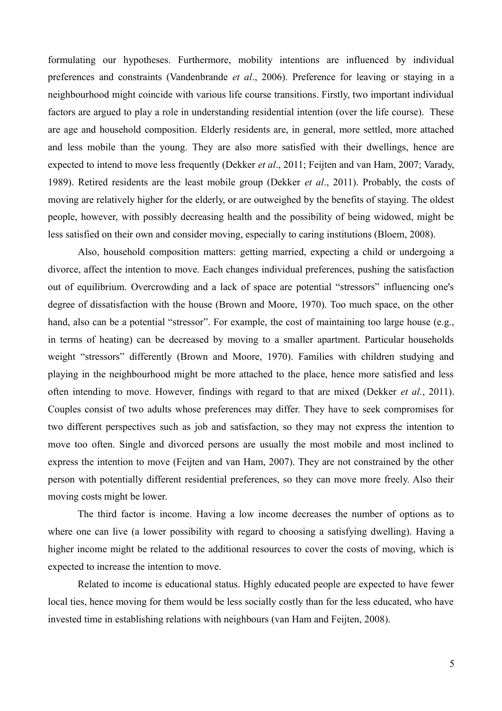formulating our hypotheses. Furthermore, mobility intentions are influenced by individual preferences and constraints (Vandenbrande *et al*., 2006). Preference for leaving or staying in a neighbourhood might coincide with various life course transitions. Firstly, two important individual factors are argued to play a role in understanding residential intention (over the life course). These are age and household composition. Elderly residents are, in general, more settled, more attached and less mobile than the young. They are also more satisfied with their dwellings, hence are expected to intend to move less frequently (Dekker *et al*., 2011; Feijten and van Ham, 2007; Varady, 1989). Retired residents are the least mobile group (Dekker *et al*., 2011). Probably, the costs of moving are relatively higher for the elderly, or are outweighed by the benefits of staying. The oldest people, however, with possibly decreasing health and the possibility of being widowed, might be less satisfied on their own and consider moving, especially to caring institutions (Bloem, 2008).

Also, household composition matters: getting married, expecting a child or undergoing a divorce, affect the intention to move. Each changes individual preferences, pushing the satisfaction out of equilibrium. Overcrowding and a lack of space are potential "stressors" influencing one's degree of dissatisfaction with the house (Brown and Moore, 1970). Too much space, on the other hand, also can be a potential "stressor". For example, the cost of maintaining too large house (e.g., in terms of heating) can be decreased by moving to a smaller apartment. Particular households weight "stressors" differently (Brown and Moore, 1970). Families with children studying and playing in the neighbourhood might be more attached to the place, hence more satisfied and less often intending to move. However, findings with regard to that are mixed (Dekker *et al.*, 2011). Couples consist of two adults whose preferences may differ. They have to seek compromises for two different perspectives such as job and satisfaction, so they may not express the intention to move too often. Single and divorced persons are usually the most mobile and most inclined to express the intention to move (Feijten and van Ham, 2007). They are not constrained by the other person with potentially different residential preferences, so they can move more freely. Also their moving costs might be lower.

The third factor is income. Having a low income decreases the number of options as to where one can live (a lower possibility with regard to choosing a satisfying dwelling). Having a higher income might be related to the additional resources to cover the costs of moving, which is expected to increase the intention to move.

Related to income is educational status. Highly educated people are expected to have fewer local ties, hence moving for them would be less socially costly than for the less educated, who have invested time in establishing relations with neighbours (van Ham and Feijten, 2008).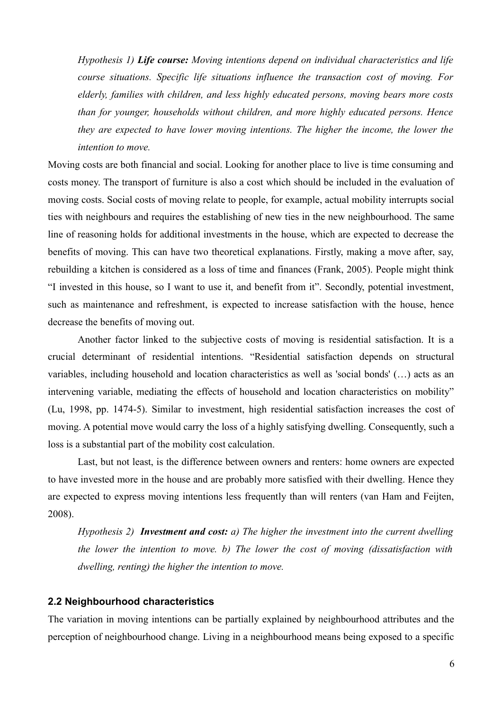*Hypothesis 1) Life course: Moving intentions depend on individual characteristics and life course situations. Specific life situations influence the transaction cost of moving. For elderly, families with children, and less highly educated persons, moving bears more costs than for younger, households without children, and more highly educated persons. Hence they are expected to have lower moving intentions. The higher the income, the lower the intention to move.*

Moving costs are both financial and social. Looking for another place to live is time consuming and costs money. The transport of furniture is also a cost which should be included in the evaluation of moving costs. Social costs of moving relate to people, for example, actual mobility interrupts social ties with neighbours and requires the establishing of new ties in the new neighbourhood. The same line of reasoning holds for additional investments in the house, which are expected to decrease the benefits of moving. This can have two theoretical explanations. Firstly, making a move after, say, rebuilding a kitchen is considered as a loss of time and finances (Frank, 2005). People might think "I invested in this house, so I want to use it, and benefit from it". Secondly, potential investment, such as maintenance and refreshment, is expected to increase satisfaction with the house, hence decrease the benefits of moving out.

Another factor linked to the subjective costs of moving is residential satisfaction. It is a crucial determinant of residential intentions. "Residential satisfaction depends on structural variables, including household and location characteristics as well as 'social bonds' (…) acts as an intervening variable, mediating the effects of household and location characteristics on mobility" (Lu, 1998, pp. 1474-5). Similar to investment, high residential satisfaction increases the cost of moving. A potential move would carry the loss of a highly satisfying dwelling. Consequently, such a loss is a substantial part of the mobility cost calculation.

Last, but not least, is the difference between owners and renters: home owners are expected to have invested more in the house and are probably more satisfied with their dwelling. Hence they are expected to express moving intentions less frequently than will renters (van Ham and Feijten, 2008).

*Hypothesis 2) Investment and cost: a) The higher the investment into the current dwelling the lower the intention to move. b) The lower the cost of moving (dissatisfaction with dwelling, renting) the higher the intention to move.*

### **2.2 Neighbourhood characteristics**

The variation in moving intentions can be partially explained by neighbourhood attributes and the perception of neighbourhood change. Living in a neighbourhood means being exposed to a specific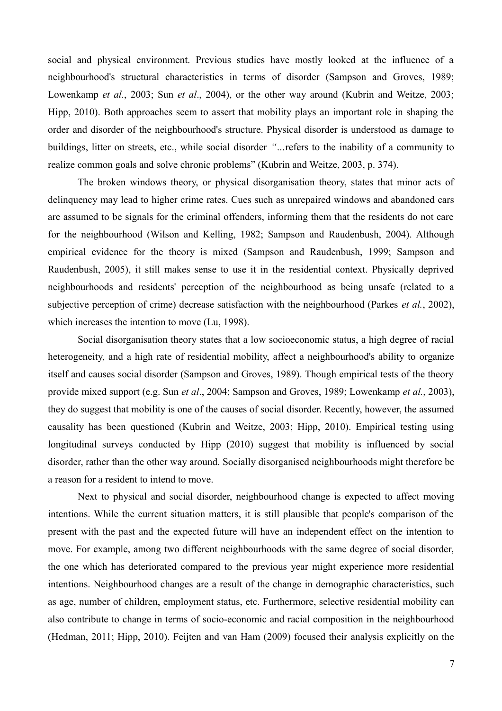social and physical environment. Previous studies have mostly looked at the influence of a neighbourhood's structural characteristics in terms of disorder (Sampson and Groves, 1989; Lowenkamp *et al.*, 2003; Sun *et al*., 2004), or the other way around (Kubrin and Weitze, 2003; Hipp, 2010). Both approaches seem to assert that mobility plays an important role in shaping the order and disorder of the neighbourhood's structure. Physical disorder is understood as damage to buildings, litter on streets, etc., while social disorder *"…*refers to the inability of a community to realize common goals and solve chronic problems" (Kubrin and Weitze, 2003, p. 374).

The broken windows theory, or physical disorganisation theory, states that minor acts of delinquency may lead to higher crime rates. Cues such as unrepaired windows and abandoned cars are assumed to be signals for the criminal offenders, informing them that the residents do not care for the neighbourhood (Wilson and Kelling, 1982; Sampson and Raudenbush, 2004). Although empirical evidence for the theory is mixed (Sampson and Raudenbush, 1999; Sampson and Raudenbush, 2005), it still makes sense to use it in the residential context. Physically deprived neighbourhoods and residents' perception of the neighbourhood as being unsafe (related to a subjective perception of crime) decrease satisfaction with the neighbourhood (Parkes *et al.*, 2002), which increases the intention to move (Lu, 1998).

Social disorganisation theory states that a low socioeconomic status, a high degree of racial heterogeneity, and a high rate of residential mobility, affect a neighbourhood's ability to organize itself and causes social disorder (Sampson and Groves, 1989). Though empirical tests of the theory provide mixed support (e.g. Sun *et al*., 2004; Sampson and Groves, 1989; Lowenkamp *et al.*, 2003), they do suggest that mobility is one of the causes of social disorder. Recently, however, the assumed causality has been questioned (Kubrin and Weitze, 2003; Hipp, 2010). Empirical testing using longitudinal surveys conducted by Hipp (2010) suggest that mobility is influenced by social disorder, rather than the other way around. Socially disorganised neighbourhoods might therefore be a reason for a resident to intend to move.

Next to physical and social disorder, neighbourhood change is expected to affect moving intentions. While the current situation matters, it is still plausible that people's comparison of the present with the past and the expected future will have an independent effect on the intention to move. For example, among two different neighbourhoods with the same degree of social disorder, the one which has deteriorated compared to the previous year might experience more residential intentions. Neighbourhood changes are a result of the change in demographic characteristics, such as age, number of children, employment status, etc. Furthermore, selective residential mobility can also contribute to change in terms of socio-economic and racial composition in the neighbourhood (Hedman, 2011; Hipp, 2010). Feijten and van Ham (2009) focused their analysis explicitly on the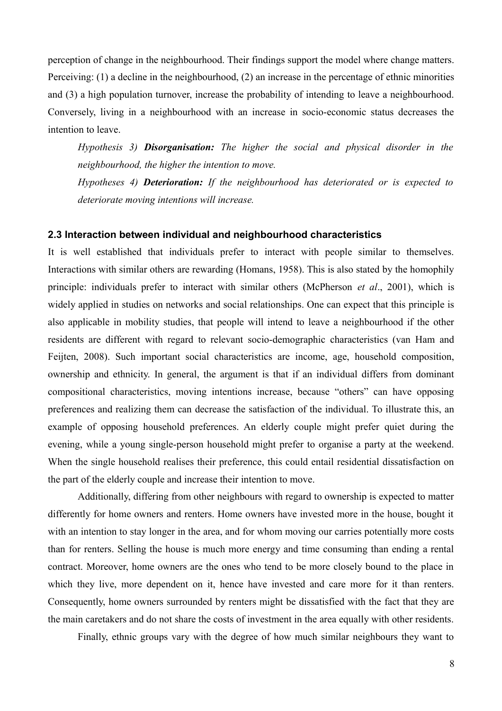perception of change in the neighbourhood. Their findings support the model where change matters. Perceiving: (1) a decline in the neighbourhood, (2) an increase in the percentage of ethnic minorities and (3) a high population turnover, increase the probability of intending to leave a neighbourhood. Conversely, living in a neighbourhood with an increase in socio-economic status decreases the intention to leave.

*Hypothesis 3) Disorganisation: The higher the social and physical disorder in the neighbourhood, the higher the intention to move.* 

*Hypotheses 4) Deterioration: If the neighbourhood has deteriorated or is expected to deteriorate moving intentions will increase.*

#### **2.3 Interaction between individual and neighbourhood characteristics**

It is well established that individuals prefer to interact with people similar to themselves. Interactions with similar others are rewarding (Homans, 1958). This is also stated by the homophily principle: individuals prefer to interact with similar others (McPherson *et al*., 2001), which is widely applied in studies on networks and social relationships. One can expect that this principle is also applicable in mobility studies, that people will intend to leave a neighbourhood if the other residents are different with regard to relevant socio-demographic characteristics (van Ham and Feijten, 2008). Such important social characteristics are income, age, household composition, ownership and ethnicity. In general, the argument is that if an individual differs from dominant compositional characteristics, moving intentions increase, because "others" can have opposing preferences and realizing them can decrease the satisfaction of the individual. To illustrate this, an example of opposing household preferences. An elderly couple might prefer quiet during the evening, while a young single-person household might prefer to organise a party at the weekend. When the single household realises their preference, this could entail residential dissatisfaction on the part of the elderly couple and increase their intention to move.

Additionally, differing from other neighbours with regard to ownership is expected to matter differently for home owners and renters. Home owners have invested more in the house, bought it with an intention to stay longer in the area, and for whom moving our carries potentially more costs than for renters. Selling the house is much more energy and time consuming than ending a rental contract. Moreover, home owners are the ones who tend to be more closely bound to the place in which they live, more dependent on it, hence have invested and care more for it than renters. Consequently, home owners surrounded by renters might be dissatisfied with the fact that they are the main caretakers and do not share the costs of investment in the area equally with other residents.

Finally, ethnic groups vary with the degree of how much similar neighbours they want to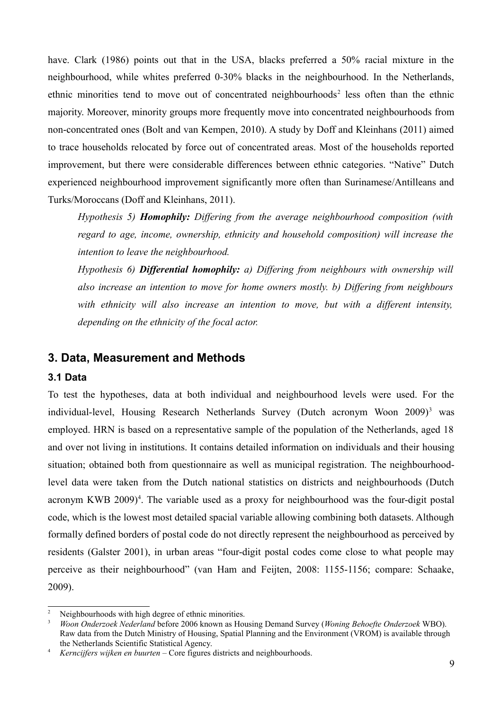have. Clark (1986) points out that in the USA, blacks preferred a 50% racial mixture in the neighbourhood, while whites preferred 0-30% blacks in the neighbourhood. In the Netherlands, ethnic minorities tend to move out of concentrated neighbourhoods<sup>[2](#page-8-0)</sup> less often than the ethnic majority. Moreover, minority groups more frequently move into concentrated neighbourhoods from non-concentrated ones (Bolt and van Kempen, 2010). A study by Doff and Kleinhans (2011) aimed to trace households relocated by force out of concentrated areas. Most of the households reported improvement, but there were considerable differences between ethnic categories. "Native" Dutch experienced neighbourhood improvement significantly more often than Surinamese/Antilleans and Turks/Moroccans (Doff and Kleinhans, 2011).

*Hypothesis 5) Homophily: Differing from the average neighbourhood composition (with regard to age, income, ownership, ethnicity and household composition) will increase the intention to leave the neighbourhood.* 

*Hypothesis 6) Differential homophily: a) Differing from neighbours with ownership will also increase an intention to move for home owners mostly. b) Differing from neighbours with ethnicity will also increase an intention to move, but with a different intensity, depending on the ethnicity of the focal actor.*

# **3. Data, Measurement and Methods**

### **3.1 Data**

To test the hypotheses, data at both individual and neighbourhood levels were used. For the individual-level, Housing Research Netherlands Survey (Dutch acronym Woon 2009)<sup>[3](#page-8-1)</sup> was employed. HRN is based on a representative sample of the population of the Netherlands, aged 18 and over not living in institutions. It contains detailed information on individuals and their housing situation; obtained both from questionnaire as well as municipal registration. The neighbourhoodlevel data were taken from the Dutch national statistics on districts and neighbourhoods (Dutch acronym KWB 2009)<sup>[4](#page-8-2)</sup>. The variable used as a proxy for neighbourhood was the four-digit postal code, which is the lowest most detailed spacial variable allowing combining both datasets. Although formally defined borders of postal code do not directly represent the neighbourhood as perceived by residents (Galster 2001), in urban areas "four-digit postal codes come close to what people may perceive as their neighbourhood" (van Ham and Feijten, 2008: 1155-1156; compare: Schaake, 2009).

<span id="page-8-0"></span>Neighbourhoods with high degree of ethnic minorities.

<span id="page-8-1"></span><sup>3</sup> *Woon Onderzoek Nederland* before 2006 known as Housing Demand Survey (*Woning Behoefte Onderzoek* WBO). Raw data from the Dutch Ministry of Housing, Spatial Planning and the Environment (VROM) is available through the Netherlands Scientific Statistical Agency.

<span id="page-8-2"></span><sup>4</sup> *Kerncijfers wijken en buurten* – Core figures districts and neighbourhoods.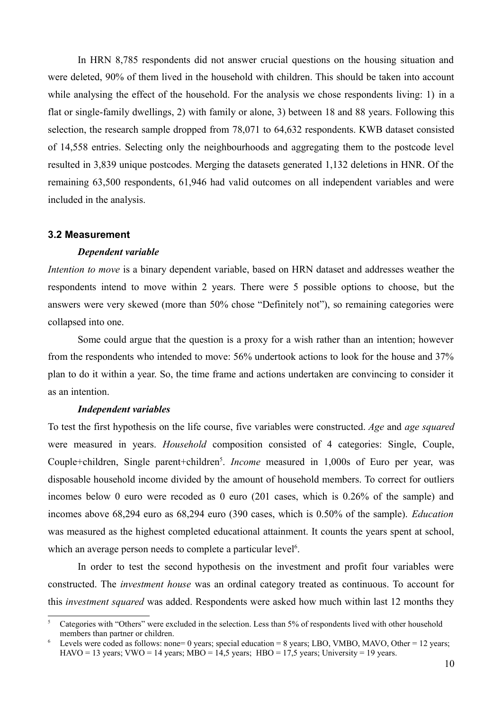In HRN 8,785 respondents did not answer crucial questions on the housing situation and were deleted, 90% of them lived in the household with children. This should be taken into account while analysing the effect of the household. For the analysis we chose respondents living: 1) in a flat or single-family dwellings, 2) with family or alone, 3) between 18 and 88 years. Following this selection, the research sample dropped from 78,071 to 64,632 respondents. KWB dataset consisted of 14,558 entries. Selecting only the neighbourhoods and aggregating them to the postcode level resulted in 3,839 unique postcodes. Merging the datasets generated 1,132 deletions in HNR. Of the remaining 63,500 respondents, 61,946 had valid outcomes on all independent variables and were included in the analysis.

#### **3.2 Measurement**

#### *Dependent variable*

*Intention to move* is a binary dependent variable, based on HRN dataset and addresses weather the respondents intend to move within 2 years. There were 5 possible options to choose, but the answers were very skewed (more than 50% chose "Definitely not"), so remaining categories were collapsed into one.

Some could argue that the question is a proxy for a wish rather than an intention; however from the respondents who intended to move: 56% undertook actions to look for the house and 37% plan to do it within a year. So, the time frame and actions undertaken are convincing to consider it as an intention.

#### *Independent variables*

To test the first hypothesis on the life course, five variables were constructed. *Age* and *age squared* were measured in years. *Household* composition consisted of 4 categories: Single, Couple, Couple+children, Single parent+children<sup>[5](#page-9-0)</sup>. *Income* measured in 1,000s of Euro per year, was disposable household income divided by the amount of household members. To correct for outliers incomes below 0 euro were recoded as 0 euro (201 cases, which is 0.26% of the sample) and incomes above 68,294 euro as 68,294 euro (390 cases, which is 0.50% of the sample). *Education* was measured as the highest completed educational attainment. It counts the years spent at school, which an average person needs to complete a particular level<sup>[6](#page-9-1)</sup>.

In order to test the second hypothesis on the investment and profit four variables were constructed. The *investment house* was an ordinal category treated as continuous. To account for this *investment squared* was added. Respondents were asked how much within last 12 months they

<span id="page-9-0"></span><sup>5</sup> Categories with "Others" were excluded in the selection. Less than 5% of respondents lived with other household members than partner or children.

<span id="page-9-1"></span>Levels were coded as follows: none= 0 years; special education = 8 years; LBO, VMBO, MAVO, Other = 12 years; HAVO = 13 years; VWO = 14 years; MBO = 14,5 years; HBO = 17,5 years; University = 19 years.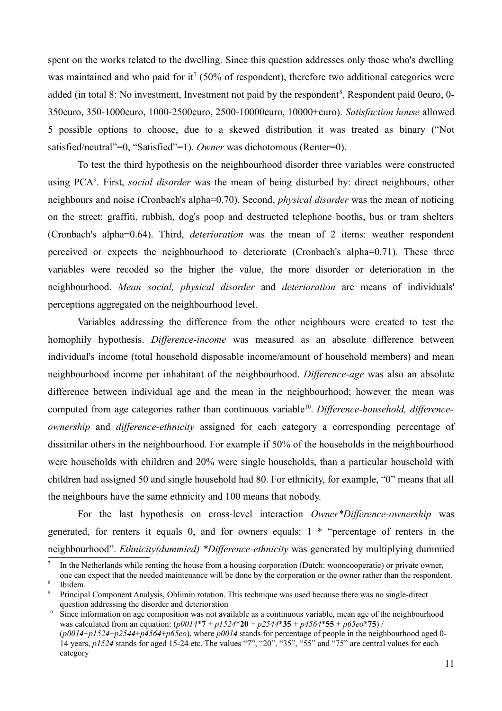spent on the works related to the dwelling. Since this question addresses only those who's dwelling was maintained and who paid for it<sup>[7](#page-10-0)</sup> (50% of respondent), therefore two additional categories were added (in total [8](#page-10-1): No investment, Investment not paid by the respondent<sup>8</sup>, Respondent paid 0euro, 0-350euro, 350-1000euro, 1000-2500euro, 2500-10000euro, 10000+euro). *Satisfaction house* allowed 5 possible options to choose, due to a skewed distribution it was treated as binary ("Not satisfied/neutral"=0, "Satisfied"=1). *Owner* was dichotomous (Renter=0).

To test the third hypothesis on the neighbourhood disorder three variables were constructed using PCA<sup>[9](#page-10-2)</sup>. First, *social disorder* was the mean of being disturbed by: direct neighbours, other neighbours and noise (Cronbach's alpha=0.70). Second, *physical disorder* was the mean of noticing on the street: graffiti, rubbish, dog's poop and destructed telephone booths, bus or tram shelters (Cronbach's alpha=0.64). Third, *deterioration* was the mean of 2 items: weather respondent perceived or expects the neighbourhood to deteriorate (Cronbach's alpha=0.71). These three variables were recoded so the higher the value, the more disorder or deterioration in the neighbourhood. *Mean social, physical disorder* and *deterioration* are means of individuals' perceptions aggregated on the neighbourhood level.

Variables addressing the difference from the other neighbours were created to test the homophily hypothesis. *Difference-income* was measured as an absolute difference between individual's income (total household disposable income/amount of household members) and mean neighbourhood income per inhabitant of the neighbourhood. *Difference-age* was also an absolute difference between individual age and the mean in the neighbourhood; however the mean was computed from age categories rather than continuous variable<sup>[10](#page-10-3)</sup>. Difference-household, difference*ownership* and *difference-ethnicity* assigned for each category a corresponding percentage of dissimilar others in the neighbourhood. For example if 50% of the households in the neighbourhood were households with children and 20% were single households, than a particular household with children had assigned 50 and single household had 80. For ethnicity, for example, "0" means that all the neighbours have the same ethnicity and 100 means that nobody.

For the last hypothesis on cross-level interaction *Owner\*Difference-ownership* was generated, for renters it equals 0, and for owners equals: 1 \* "percentage of renters in the neighbourhood". *Ethnicity(dummied) \*Difference-ethnicity* was generated by multiplying dummied

<span id="page-10-3"></span>Since information on age composition was not available as a continuous variable, mean age of the neighbourhood was calculated from an equation: (*p0014*\***7** + *p1524*\***20** + *p2544*\***35** + *p4564*\***55** + *p65eo*\***75**) / (*p0014*+*p1524*+*p2544*+*p4564*+*p65eo*), where *p0014* stands for percentage of people in the neighbourhood aged 0- 14 years, *p1524* stands for aged 15-24 etc. The values "7", "20", "35", "55" and "75" are central values for each

<span id="page-10-0"></span><sup>7</sup> In the Netherlands while renting the house from a housing corporation (Dutch: wooncooperatie) or private owner,

<span id="page-10-1"></span>one can expect that the needed maintenance will be done by the corporation or the owner rather than the respondent. 8 Ibidem.

<span id="page-10-2"></span><sup>9</sup> Principal Component Analysis, Oblimin rotation. This technique was used because there was no single-direct question addressing the disorder and deterioration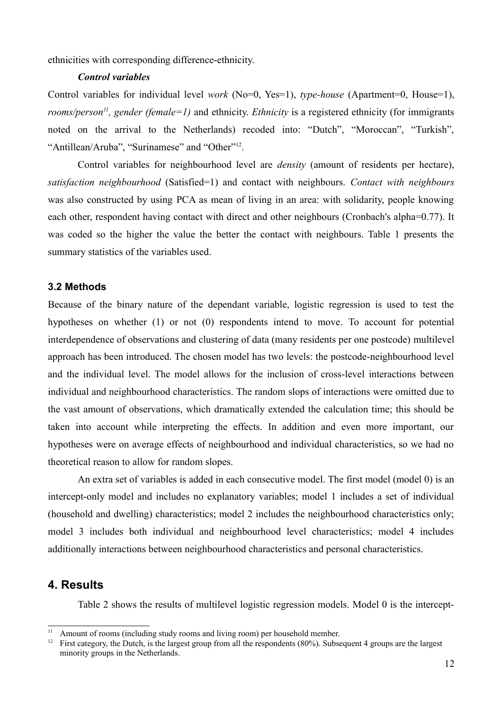ethnicities with corresponding difference-ethnicity.

### *Control variables*

Control variables for individual level *work* (No=0, Yes=1), *type-house* (Apartment=0, House=1), *rooms/person[11](#page-11-0), gender (female=1)* and ethnicity. *Ethnicity* is a registered ethnicity (for immigrants noted on the arrival to the Netherlands) recoded into: "Dutch", "Moroccan", "Turkish", "Antillean/Aruba", "Surinamese" and "Other"<sup>[12](#page-11-1)</sup>.

Control variables for neighbourhood level are *density* (amount of residents per hectare), *satisfaction neighbourhood* (Satisfied=1) and contact with neighbours. *Contact with neighbours* was also constructed by using PCA as mean of living in an area: with solidarity, people knowing each other, respondent having contact with direct and other neighbours (Cronbach's alpha=0.77). It was coded so the higher the value the better the contact with neighbours. Table 1 presents the summary statistics of the variables used.

### **3.2 Methods**

Because of the binary nature of the dependant variable, logistic regression is used to test the hypotheses on whether (1) or not (0) respondents intend to move. To account for potential interdependence of observations and clustering of data (many residents per one postcode) multilevel approach has been introduced. The chosen model has two levels: the postcode-neighbourhood level and the individual level. The model allows for the inclusion of cross-level interactions between individual and neighbourhood characteristics. The random slops of interactions were omitted due to the vast amount of observations, which dramatically extended the calculation time; this should be taken into account while interpreting the effects. In addition and even more important, our hypotheses were on average effects of neighbourhood and individual characteristics, so we had no theoretical reason to allow for random slopes.

An extra set of variables is added in each consecutive model. The first model (model 0) is an intercept-only model and includes no explanatory variables; model 1 includes a set of individual (household and dwelling) characteristics; model 2 includes the neighbourhood characteristics only; model 3 includes both individual and neighbourhood level characteristics; model 4 includes additionally interactions between neighbourhood characteristics and personal characteristics.

# **4. Results**

Table 2 shows the results of multilevel logistic regression models. Model 0 is the intercept-

<span id="page-11-0"></span><sup>&</sup>lt;sup>11</sup> Amount of rooms (including study rooms and living room) per household member.<br><sup>12</sup> Eirst category, the Dutch is the largest group from all the respondents  $(80\%)$ . Subset

<span id="page-11-1"></span><sup>12</sup> First category, the Dutch, is the largest group from all the respondents (80%). Subsequent 4 groups are the largest minority groups in the Netherlands.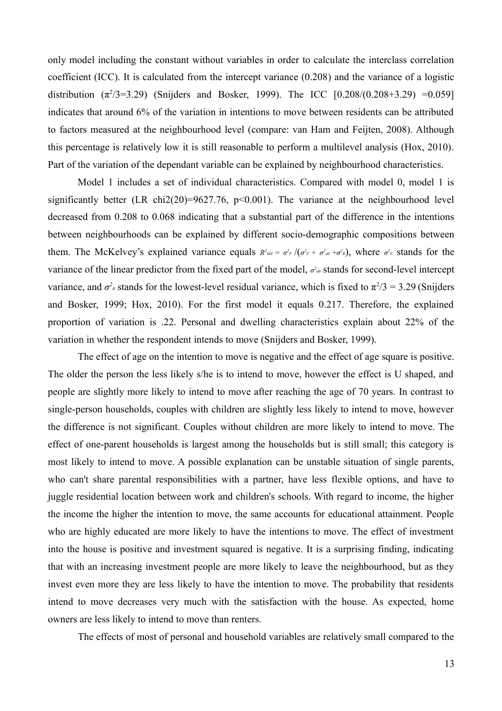only model including the constant without variables in order to calculate the interclass correlation coefficient (ICC). It is calculated from the intercept variance (0.208) and the variance of a logistic distribution  $(\pi^2/3=3.29)$  (Snijders and Bosker, 1999). The ICC [0.208/(0.208+3.29) =0.059] indicates that around 6% of the variation in intentions to move between residents can be attributed to factors measured at the neighbourhood level (compare: van Ham and Feijten, 2008). Although this percentage is relatively low it is still reasonable to perform a multilevel analysis (Hox, 2010). Part of the variation of the dependant variable can be explained by neighbourhood characteristics.

Model 1 includes a set of individual characteristics. Compared with model 0, model 1 is significantly better (LR chi2(20)=9627.76, p<0.001). The variance at the neighbourhood level decreased from 0.208 to 0.068 indicating that a substantial part of the difference in the intentions between neighbourhoods can be explained by different socio-demographic compositions between them. The McKelvey's explained variance equals  $R^2{}_{MZ} = \sigma^2{}_{F} / (\sigma^2{}_{F} + \sigma^2{}_{a0} + \sigma^2{}_{R})$ , where  $\sigma^2{}_{F}$  stands for the variance of the linear predictor from the fixed part of the model,  $\sigma^2$  stands for second-level intercept variance, and  $\sigma^2$ <sub>*R*</sub> stands for the lowest-level residual variance, which is fixed to  $\pi^2/3 = 3.29$  (Snijders and Bosker, 1999; Hox, 2010). For the first model it equals 0.217. Therefore, the explained proportion of variation is .22. Personal and dwelling characteristics explain about 22% of the variation in whether the respondent intends to move (Snijders and Bosker, 1999).

The effect of age on the intention to move is negative and the effect of age square is positive. The older the person the less likely s/he is to intend to move, however the effect is U shaped, and people are slightly more likely to intend to move after reaching the age of 70 years. In contrast to single-person households, couples with children are slightly less likely to intend to move, however the difference is not significant. Couples without children are more likely to intend to move. The effect of one-parent households is largest among the households but is still small; this category is most likely to intend to move. A possible explanation can be unstable situation of single parents, who can't share parental responsibilities with a partner, have less flexible options, and have to juggle residential location between work and children's schools. With regard to income, the higher the income the higher the intention to move, the same accounts for educational attainment. People who are highly educated are more likely to have the intentions to move. The effect of investment into the house is positive and investment squared is negative. It is a surprising finding, indicating that with an increasing investment people are more likely to leave the neighbourhood, but as they invest even more they are less likely to have the intention to move. The probability that residents intend to move decreases very much with the satisfaction with the house. As expected, home owners are less likely to intend to move than renters.

The effects of most of personal and household variables are relatively small compared to the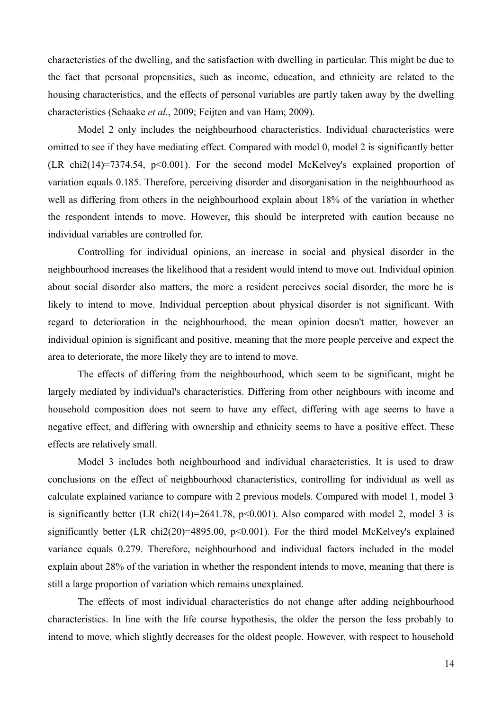characteristics of the dwelling, and the satisfaction with dwelling in particular. This might be due to the fact that personal propensities, such as income, education, and ethnicity are related to the housing characteristics, and the effects of personal variables are partly taken away by the dwelling characteristics (Schaake *et al.*, 2009; Feijten and van Ham; 2009).

Model 2 only includes the neighbourhood characteristics. Individual characteristics were omitted to see if they have mediating effect. Compared with model 0, model 2 is significantly better (LR chi2(14)=7374.54, p<0.001). For the second model McKelvey's explained proportion of variation equals 0.185. Therefore, perceiving disorder and disorganisation in the neighbourhood as well as differing from others in the neighbourhood explain about 18% of the variation in whether the respondent intends to move. However, this should be interpreted with caution because no individual variables are controlled for.

Controlling for individual opinions, an increase in social and physical disorder in the neighbourhood increases the likelihood that a resident would intend to move out. Individual opinion about social disorder also matters, the more a resident perceives social disorder, the more he is likely to intend to move. Individual perception about physical disorder is not significant. With regard to deterioration in the neighbourhood, the mean opinion doesn't matter, however an individual opinion is significant and positive, meaning that the more people perceive and expect the area to deteriorate, the more likely they are to intend to move.

The effects of differing from the neighbourhood, which seem to be significant, might be largely mediated by individual's characteristics. Differing from other neighbours with income and household composition does not seem to have any effect, differing with age seems to have a negative effect, and differing with ownership and ethnicity seems to have a positive effect. These effects are relatively small.

Model 3 includes both neighbourhood and individual characteristics. It is used to draw conclusions on the effect of neighbourhood characteristics, controlling for individual as well as calculate explained variance to compare with 2 previous models. Compared with model 1, model 3 is significantly better (LR chi2(14)=2641.78,  $p<0.001$ ). Also compared with model 2, model 3 is significantly better (LR chi2(20)=4895.00,  $p<0.001$ ). For the third model McKelvey's explained variance equals 0.279. Therefore, neighbourhood and individual factors included in the model explain about 28% of the variation in whether the respondent intends to move, meaning that there is still a large proportion of variation which remains unexplained.

The effects of most individual characteristics do not change after adding neighbourhood characteristics. In line with the life course hypothesis, the older the person the less probably to intend to move, which slightly decreases for the oldest people. However, with respect to household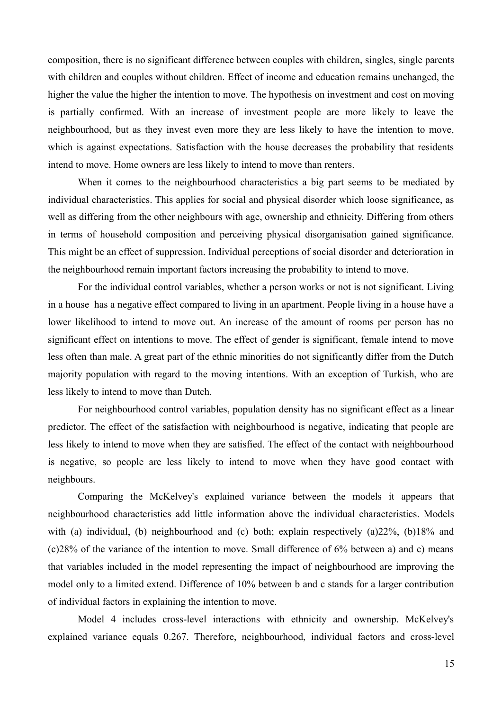composition, there is no significant difference between couples with children, singles, single parents with children and couples without children. Effect of income and education remains unchanged, the higher the value the higher the intention to move. The hypothesis on investment and cost on moving is partially confirmed. With an increase of investment people are more likely to leave the neighbourhood, but as they invest even more they are less likely to have the intention to move, which is against expectations. Satisfaction with the house decreases the probability that residents intend to move. Home owners are less likely to intend to move than renters.

When it comes to the neighbourhood characteristics a big part seems to be mediated by individual characteristics. This applies for social and physical disorder which loose significance, as well as differing from the other neighbours with age, ownership and ethnicity. Differing from others in terms of household composition and perceiving physical disorganisation gained significance. This might be an effect of suppression. Individual perceptions of social disorder and deterioration in the neighbourhood remain important factors increasing the probability to intend to move.

For the individual control variables, whether a person works or not is not significant. Living in a house has a negative effect compared to living in an apartment. People living in a house have a lower likelihood to intend to move out. An increase of the amount of rooms per person has no significant effect on intentions to move. The effect of gender is significant, female intend to move less often than male. A great part of the ethnic minorities do not significantly differ from the Dutch majority population with regard to the moving intentions. With an exception of Turkish, who are less likely to intend to move than Dutch.

For neighbourhood control variables, population density has no significant effect as a linear predictor. The effect of the satisfaction with neighbourhood is negative, indicating that people are less likely to intend to move when they are satisfied. The effect of the contact with neighbourhood is negative, so people are less likely to intend to move when they have good contact with neighbours.

Comparing the McKelvey's explained variance between the models it appears that neighbourhood characteristics add little information above the individual characteristics. Models with (a) individual, (b) neighbourhood and (c) both; explain respectively (a)22%, (b)18% and (c)28% of the variance of the intention to move. Small difference of 6% between a) and c) means that variables included in the model representing the impact of neighbourhood are improving the model only to a limited extend. Difference of 10% between b and c stands for a larger contribution of individual factors in explaining the intention to move.

Model 4 includes cross-level interactions with ethnicity and ownership. McKelvey's explained variance equals 0.267. Therefore, neighbourhood, individual factors and cross-level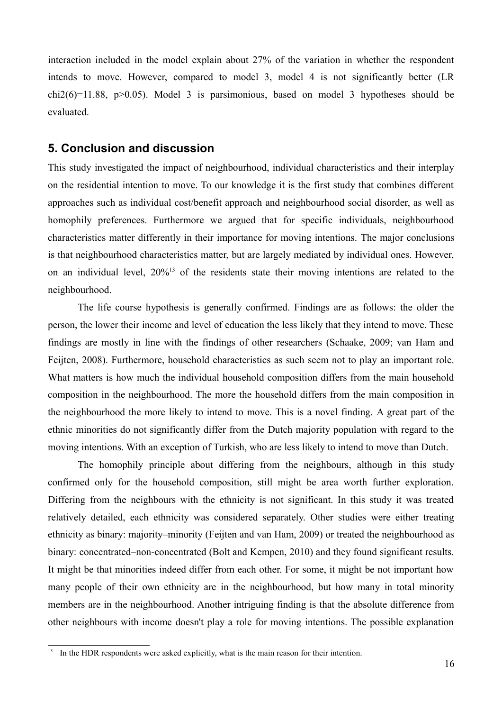interaction included in the model explain about 27% of the variation in whether the respondent intends to move. However, compared to model 3, model 4 is not significantly better (LR  $chi2(6)=11.88$ ,  $p>0.05$ ). Model 3 is parsimonious, based on model 3 hypotheses should be evaluated.

# **5. Conclusion and discussion**

This study investigated the impact of neighbourhood, individual characteristics and their interplay on the residential intention to move. To our knowledge it is the first study that combines different approaches such as individual cost/benefit approach and neighbourhood social disorder, as well as homophily preferences. Furthermore we argued that for specific individuals, neighbourhood characteristics matter differently in their importance for moving intentions. The major conclusions is that neighbourhood characteristics matter, but are largely mediated by individual ones. However, on an individual level, 20%[13](#page-15-0) of the residents state their moving intentions are related to the neighbourhood.

The life course hypothesis is generally confirmed. Findings are as follows: the older the person, the lower their income and level of education the less likely that they intend to move. These findings are mostly in line with the findings of other researchers (Schaake, 2009; van Ham and Feijten, 2008). Furthermore, household characteristics as such seem not to play an important role. What matters is how much the individual household composition differs from the main household composition in the neighbourhood. The more the household differs from the main composition in the neighbourhood the more likely to intend to move. This is a novel finding. A great part of the ethnic minorities do not significantly differ from the Dutch majority population with regard to the moving intentions. With an exception of Turkish, who are less likely to intend to move than Dutch.

The homophily principle about differing from the neighbours, although in this study confirmed only for the household composition, still might be area worth further exploration. Differing from the neighbours with the ethnicity is not significant. In this study it was treated relatively detailed, each ethnicity was considered separately. Other studies were either treating ethnicity as binary: majority–minority (Feijten and van Ham, 2009) or treated the neighbourhood as binary: concentrated–non-concentrated (Bolt and Kempen, 2010) and they found significant results. It might be that minorities indeed differ from each other. For some, it might be not important how many people of their own ethnicity are in the neighbourhood, but how many in total minority members are in the neighbourhood. Another intriguing finding is that the absolute difference from other neighbours with income doesn't play a role for moving intentions. The possible explanation

<span id="page-15-0"></span><sup>&</sup>lt;sup>13</sup> In the HDR respondents were asked explicitly, what is the main reason for their intention.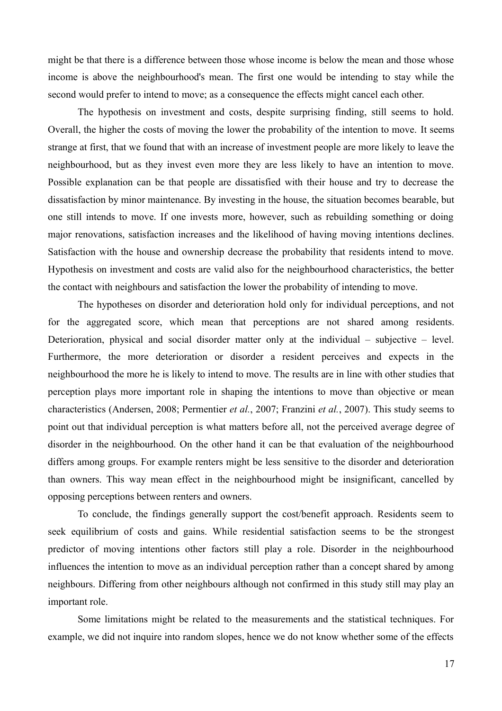might be that there is a difference between those whose income is below the mean and those whose income is above the neighbourhood's mean. The first one would be intending to stay while the second would prefer to intend to move; as a consequence the effects might cancel each other.

The hypothesis on investment and costs, despite surprising finding, still seems to hold. Overall, the higher the costs of moving the lower the probability of the intention to move. It seems strange at first, that we found that with an increase of investment people are more likely to leave the neighbourhood, but as they invest even more they are less likely to have an intention to move. Possible explanation can be that people are dissatisfied with their house and try to decrease the dissatisfaction by minor maintenance. By investing in the house, the situation becomes bearable, but one still intends to move. If one invests more, however, such as rebuilding something or doing major renovations, satisfaction increases and the likelihood of having moving intentions declines. Satisfaction with the house and ownership decrease the probability that residents intend to move. Hypothesis on investment and costs are valid also for the neighbourhood characteristics, the better the contact with neighbours and satisfaction the lower the probability of intending to move.

The hypotheses on disorder and deterioration hold only for individual perceptions, and not for the aggregated score, which mean that perceptions are not shared among residents. Deterioration, physical and social disorder matter only at the individual – subjective – level. Furthermore, the more deterioration or disorder a resident perceives and expects in the neighbourhood the more he is likely to intend to move. The results are in line with other studies that perception plays more important role in shaping the intentions to move than objective or mean characteristics (Andersen, 2008; Permentier *et al.*, 2007; Franzini *et al.*, 2007). This study seems to point out that individual perception is what matters before all, not the perceived average degree of disorder in the neighbourhood. On the other hand it can be that evaluation of the neighbourhood differs among groups. For example renters might be less sensitive to the disorder and deterioration than owners. This way mean effect in the neighbourhood might be insignificant, cancelled by opposing perceptions between renters and owners.

To conclude, the findings generally support the cost/benefit approach. Residents seem to seek equilibrium of costs and gains. While residential satisfaction seems to be the strongest predictor of moving intentions other factors still play a role. Disorder in the neighbourhood influences the intention to move as an individual perception rather than a concept shared by among neighbours. Differing from other neighbours although not confirmed in this study still may play an important role.

Some limitations might be related to the measurements and the statistical techniques. For example, we did not inquire into random slopes, hence we do not know whether some of the effects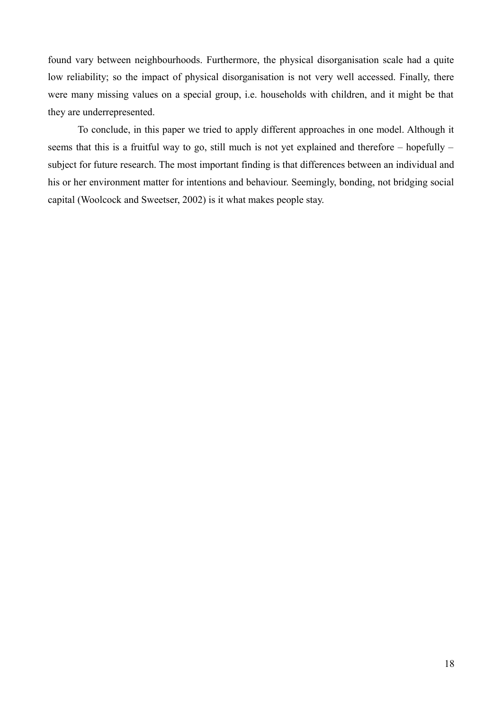found vary between neighbourhoods. Furthermore, the physical disorganisation scale had a quite low reliability; so the impact of physical disorganisation is not very well accessed. Finally, there were many missing values on a special group, i.e. households with children, and it might be that they are underrepresented.

To conclude, in this paper we tried to apply different approaches in one model. Although it seems that this is a fruitful way to go, still much is not yet explained and therefore – hopefully – subject for future research. The most important finding is that differences between an individual and his or her environment matter for intentions and behaviour. Seemingly, bonding, not bridging social capital (Woolcock and Sweetser, 2002) is it what makes people stay.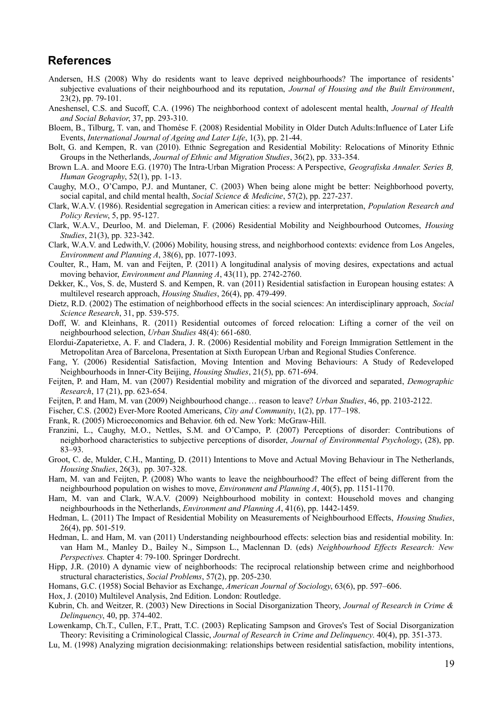# **References**

- Andersen, H.S (2008) Why do residents want to leave deprived neighbourhoods? The importance of residents' subjective evaluations of their neighbourhood and its reputation, *Journal of Housing and the Built Environment*, 23(2), pp. 79-101.
- Aneshensel, C.S. and Sucoff, C.A. (1996) The neighborhood context of adolescent mental health, *Journal of Health and Social Behavior*, 37, pp. 293-310.
- Bloem, B., Tilburg, T. van, and Thomése F. (2008) Residential Mobility in Older Dutch Adults:Influence of Later Life Events, *International Journal of Ageing and Later Life*, 1(3), pp. 21-44.
- Bolt, G. and Kempen, R. van (2010). Ethnic Segregation and Residential Mobility: Relocations of Minority Ethnic Groups in the Netherlands, *Journal of Ethnic and Migration Studies*, 36(2), pp. 333-354.
- Brown L.A. and Moore E.G. (1970) The Intra-Urban Migration Process: A Perspective, *Geografiska Annaler. Series B, Human Geography*, 52(1), pp. 1-13.
- Caughy, M.O., O'Campo, P.J. and Muntaner, C. (2003) When being alone might be better: Neighborhood poverty, social capital, and child mental health, *Social Science & Medicine*, 57(2), pp. 227-237.
- Clark, W.A.V. (1986). Residential segregation in American cities: a review and interpretation, *Population Research and Policy Review*, 5, pp. 95-127.
- Clark, W.A.V., Deurloo, M. and Dieleman, F. (2006) Residential Mobility and Neighbourhood Outcomes, *Housing Studies*, 21(3), pp. 323-342.
- Clark, W.A.V. and Ledwith,V. (2006) Mobility, housing stress, and neighborhood contexts: evidence from Los Angeles, *Environment and Planning A*, 38(6), pp. 1077-1093.
- Coulter, R., Ham, M. van and Feijten, P. (2011) A longitudinal analysis of moving desires, expectations and actual moving behavior, *Environment and Planning A*, 43(11), pp. 2742-2760.
- Dekker, K., Vos, S. de, Musterd S. and Kempen, R. van (2011) Residential satisfaction in European housing estates: A multilevel research approach, *Housing Studies*, 26(4), pp. 479-499.
- Dietz, R.D. (2002) The estimation of neighborhood effects in the social sciences: An interdisciplinary approach, *Social Science Research*, 31, pp. 539-575.
- Doff, W. and Kleinhans, R. (2011) Residential outcomes of forced relocation: Lifting a corner of the veil on neighbourhood selection, *Urban Studies* 48(4): 661-680.
- Elordui-Zapaterietxe, A. F. and Cladera, J. R. (2006) Residential mobility and Foreign Immigration Settlement in the Metropolitan Area of Barcelona, Presentation at Sixth European Urban and Regional Studies Conference.
- Fang, Y. (2006) Residential Satisfaction, Moving Intention and Moving Behaviours: A Study of Redeveloped Neighbourhoods in Inner-City Beijing, *Housing Studies*, 21(5), pp. 671-694.
- Feijten, P. and Ham, M. van (2007) Residential mobility and migration of the divorced and separated, *Demographic Research*, 17 (21), pp. 623-654.
- Feijten, P. and Ham, M. van (2009) Neighbourhood change… reason to leave? *Urban Studies*, 46, pp. 2103-2122.
- Fischer, C.S. (2002) Ever-More Rooted Americans, *City and Community*, 1(2), pp. 177–198.
- Frank, R. (2005) Microeconomics and Behavior. 6th ed. New York: McGraw-Hill.
- Franzini, L., Caughy, M.O., Nettles, S.M. and O'Campo, P. (2007) Perceptions of disorder: Contributions of neighborhood characteristics to subjective perceptions of disorder, *Journal of Environmental Psychology*, (28), pp. 83–93.
- Groot, C. de, Mulder, C.H., Manting, D. (2011) Intentions to Move and Actual Moving Behaviour in The Netherlands, *Housing Studies*, 26(3), pp. 307-328.
- Ham, M. van and Feijten, P. (2008) Who wants to leave the neighbourhood? The effect of being different from the neighbourhood population on wishes to move, *Environment and Planning A*, 40(5), pp. 1151-1170.
- Ham, M. van and Clark, W.A.V. (2009) Neighbourhood mobility in context: Household moves and changing neighbourhoods in the Netherlands, *Environment and Planning A*, 41(6), pp. 1442-1459.
- Hedman, L. (2011) The Impact of Residential Mobility on Measurements of Neighbourhood Effects, *Housing Studies*, 26(4), pp. 501-519.
- Hedman, L. and Ham, M. van (2011) Understanding neighbourhood effects: selection bias and residential mobility. In: van Ham M., Manley D., Bailey N., Simpson L., Maclennan D. (eds) *Neighbourhood Effects Research: New Perspectives.* Chapter 4: 79-100. Springer Dordrecht.
- Hipp, J.R. (2010) A dynamic view of neighborhoods: The reciprocal relationship between crime and neighborhood structural characteristics, *Social Problems*, 57(2), pp. 205-230.
- Homans, G.C. (1958) Social Behavior as Exchange, *American Journal of Sociology*, 63(6), pp. 597–606.
- Hox, J. (2010) Multilevel Analysis, 2nd Edition. London: Routledge.
- Kubrin, Ch. and Weitzer, R. (2003) New Directions in Social Disorganization Theory, *Journal of Research in Crime & Delinquency*, 40, pp. 374-402.
- Lowenkamp, Ch.T., Cullen, F.T., Pratt, T.C. (2003) Replicating Sampson and Groves's Test of Social Disorganization Theory: Revisiting a Criminological Classic, *Journal of Research in Crime and Delinquency*. 40(4), pp. 351-373.
- Lu, M. (1998) Analyzing migration decisionmaking: relationships between residential satisfaction, mobility intentions,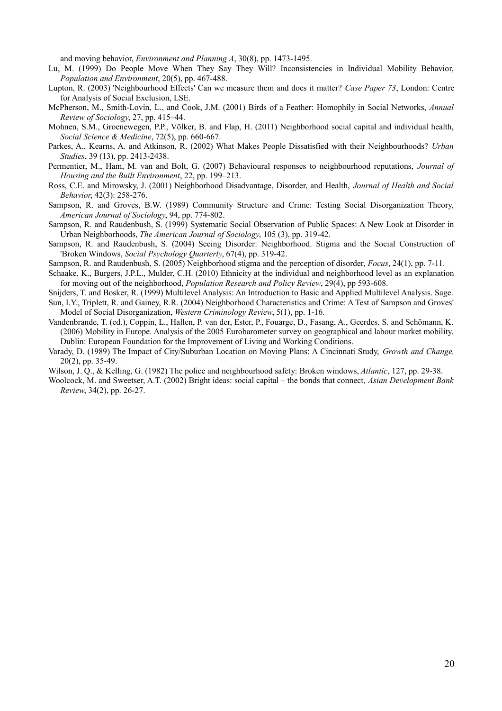and moving behavior, *Environment and Planning A*, 30(8), pp. 1473-1495.

- Lu, M. (1999) Do People Move When They Say They Will? Inconsistencies in Individual Mobility Behavior, *Population and Environment*, 20(5), pp. 467-488.
- Lupton, R. (2003) 'Neighbourhood Effects' Can we measure them and does it matter? *Case Paper 73*, London: Centre for Analysis of Social Exclusion, LSE.
- McPherson, M., Smith-Lovin, L., and Cook, J.M. (2001) Birds of a Feather: Homophily in Social Networks, *Annual Review of Sociology*, 27, pp. 415–44.
- Mohnen, S.M., Groenewegen, P.P., Völker, B. and Flap, H. (2011) Neighborhood social capital and individual health, *Social Science & Medicine*, 72(5), pp. 660-667.
- Parkes, A., Kearns, A. and Atkinson, R. (2002) What Makes People Dissatisfied with their Neighbourhoods? *Urban Studies*, 39 (13), pp. 2413-2438.
- Permentier, M., Ham, M. van and Bolt, G. (2007) Behavioural responses to neighbourhood reputations, *Journal of Housing and the Built Environment*, 22, pp. 199–213.
- Ross, C.E. and Mirowsky, J. (2001) Neighborhood Disadvantage, Disorder, and Health, *Journal of Health and Social Behavior*, 42(3): 258-276.
- Sampson, R. and Groves, B.W. (1989) Community Structure and Crime: Testing Social Disorganization Theory, *American Journal of Sociology*, 94, pp. 774-802.
- Sampson, R. and Raudenbush, S. (1999) Systematic Social Observation of Public Spaces: A New Look at Disorder in Urban Neighborhoods, *The American Journal of Sociology*, 105 (3), pp. 319-42.
- Sampson, R. and Raudenbush, S. (2004) Seeing Disorder: Neighborhood. Stigma and the Social Construction of 'Broken Windows, *Social Psychology Quarterly*, 67(4), pp. 319-42.
- Sampson, R. and Raudenbush, S. (2005) Neighborhood stigma and the perception of disorder, *Focus*, 24(1), pp. 7-11.
- Schaake, K., Burgers, J.P.L., Mulder, C.H. (2010) Ethnicity at the individual and neighborhood level as an explanation for moving out of the neighborhood, *Population Research and Policy Review*, 29(4), pp 593-608.
- Snijders, T. and Bosker, R. (1999) Multilevel Analysis: An Introduction to Basic and Applied Multilevel Analysis. Sage. Sun, I.Y., Triplett, R. and Gainey, R.R. (2004) Neighborhood Characteristics and Crime: A Test of Sampson and Groves' Model of Social Disorganization, *Western Criminology Review*, 5(1), pp. 1-16.
- Vandenbrande, T. (ed.), Coppin, L., Hallen, P. van der, Ester, P., Fouarge, D., Fasang, A., Geerdes, S. and Schömann, K. (2006) Mobility in Europe. Analysis of the 2005 Eurobarometer survey on geographical and labour market mobility. Dublin: European Foundation for the Improvement of Living and Working Conditions.
- Varady, D. (1989) The Impact of City/Suburban Location on Moving Plans: A Cincinnati Study, *Growth and Change,* 20(2), pp. 35-49.
- Wilson, J. Q., & Kelling, G. (1982) The police and neighbourhood safety: Broken windows, *Atlantic*, 127, pp. 29-38.
- Woolcock, M. and Sweetser, A.T. (2002) Bright ideas: social capital the bonds that connect, *Asian Development Bank Review*, 34(2), pp. 26-27.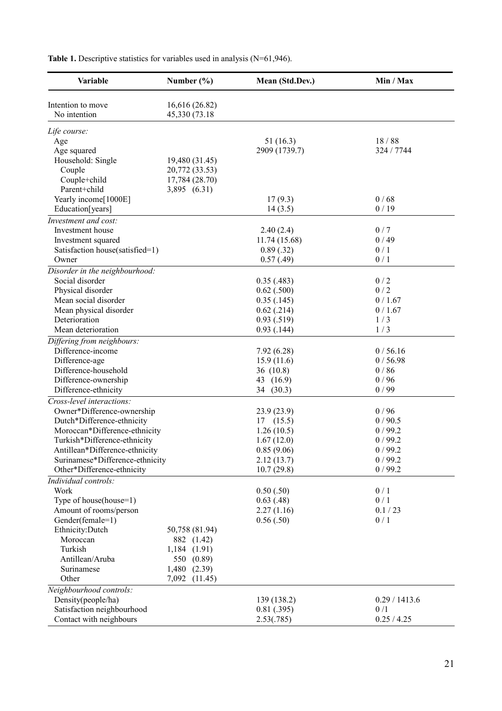| Variable                        | Number $(\% )$ | Mean (Std.Dev.) | Min / Max     |
|---------------------------------|----------------|-----------------|---------------|
| Intention to move               | 16,616 (26.82) |                 |               |
| No intention                    | 45,330 (73.18) |                 |               |
| Life course:                    |                |                 |               |
| Age                             |                | 51(16.3)        | 18/88         |
| Age squared                     |                | 2909 (1739.7)   | 324 / 7744    |
| Household: Single               | 19,480 (31.45) |                 |               |
| Couple                          | 20,772 (33.53) |                 |               |
| Couple+child                    | 17,784 (28.70) |                 |               |
| Parent+child                    | 3,895 (6.31)   |                 |               |
| Yearly income[1000E]            |                | 17(9.3)         | 0/68          |
| Education[years]                |                | 14(3.5)         | 0/19          |
| Investment and cost:            |                |                 |               |
| Investment house                |                | 2.40(2.4)       | 0/7           |
| Investment squared              |                | 11.74 (15.68)   | 0/49          |
| Satisfaction house(satisfied=1) |                | 0.89(.32)       | 0/1           |
| Owner                           |                | 0.57(0.49)      | 0/1           |
| Disorder in the neighbourhood:  |                |                 |               |
| Social disorder                 |                | 0.35(0.483)     | 0/2           |
| Physical disorder               |                | $0.62$ $(.500)$ | 0/2           |
| Mean social disorder            |                | 0.35(.145)      | 0/1.67        |
| Mean physical disorder          |                | $0.62$ (.214)   | 0/1.67        |
| Deterioration                   |                | 0.93(.519)      | 1/3           |
| Mean deterioration              |                | 0.93(0.144)     | 1/3           |
| Differing from neighbours:      |                |                 |               |
| Difference-income               |                | 7.92(6.28)      | 0/56.16       |
| Difference-age                  |                | 15.9(11.6)      | 0/56.98       |
| Difference-household            |                | 36(10.8)        | 0/86          |
| Difference-ownership            |                | 43 (16.9)       | 0/96          |
| Difference-ethnicity            |                | 34 (30.3)       | 0/99          |
| Cross-level interactions:       |                |                 |               |
| Owner*Difference-ownership      |                | 23.9(23.9)      | 0/96          |
| Dutch*Difference-ethnicity      |                | 17(15.5)        | 0/90.5        |
| Moroccan*Difference-ethnicity   |                | 1.26(10.5)      | 0/99.2        |
| Turkish*Difference-ethnicity    |                | 1.67(12.0)      | 0/99.2        |
| Antillean*Difference-ethnicity  |                | 0.85(9.06)      | 0/99.2        |
| Surinamese*Difference-ethnicity |                | 2.12(13.7)      | 0/99.2        |
| Other*Difference-ethnicity      |                | 10.7(29.8)      | 0/99.2        |
| Individual controls:            |                |                 |               |
| Work                            |                | 0.50(.50)       | 0/1           |
| Type of house(house=1)          |                | 0.63(0.48)      | 0/1           |
| Amount of rooms/person          |                | 2.27(1.16)      | 0.1 / 23      |
| Gender(female=1)                |                | 0.56(.50)       | 0/1           |
| Ethnicity: Dutch                | 50,758 (81.94) |                 |               |
| Moroccan                        | 882 (1.42)     |                 |               |
| Turkish                         | 1,184 (1.91)   |                 |               |
| Antillean/Aruba                 | 550 (0.89)     |                 |               |
| Surinamese                      | 1,480 (2.39)   |                 |               |
| Other                           | 7,092 (11.45)  |                 |               |
| Neighbourhood controls:         |                |                 |               |
| Density(people/ha)              |                | 139 (138.2)     | 0.29 / 1413.6 |
| Satisfaction neighbourhood      |                | 0.81(.395)      | 0/1           |
| Contact with neighbours         |                | 2.53(.785)      | 0.25 / 4.25   |

Table 1. Descriptive statistics for variables used in analysis (N=61,946).